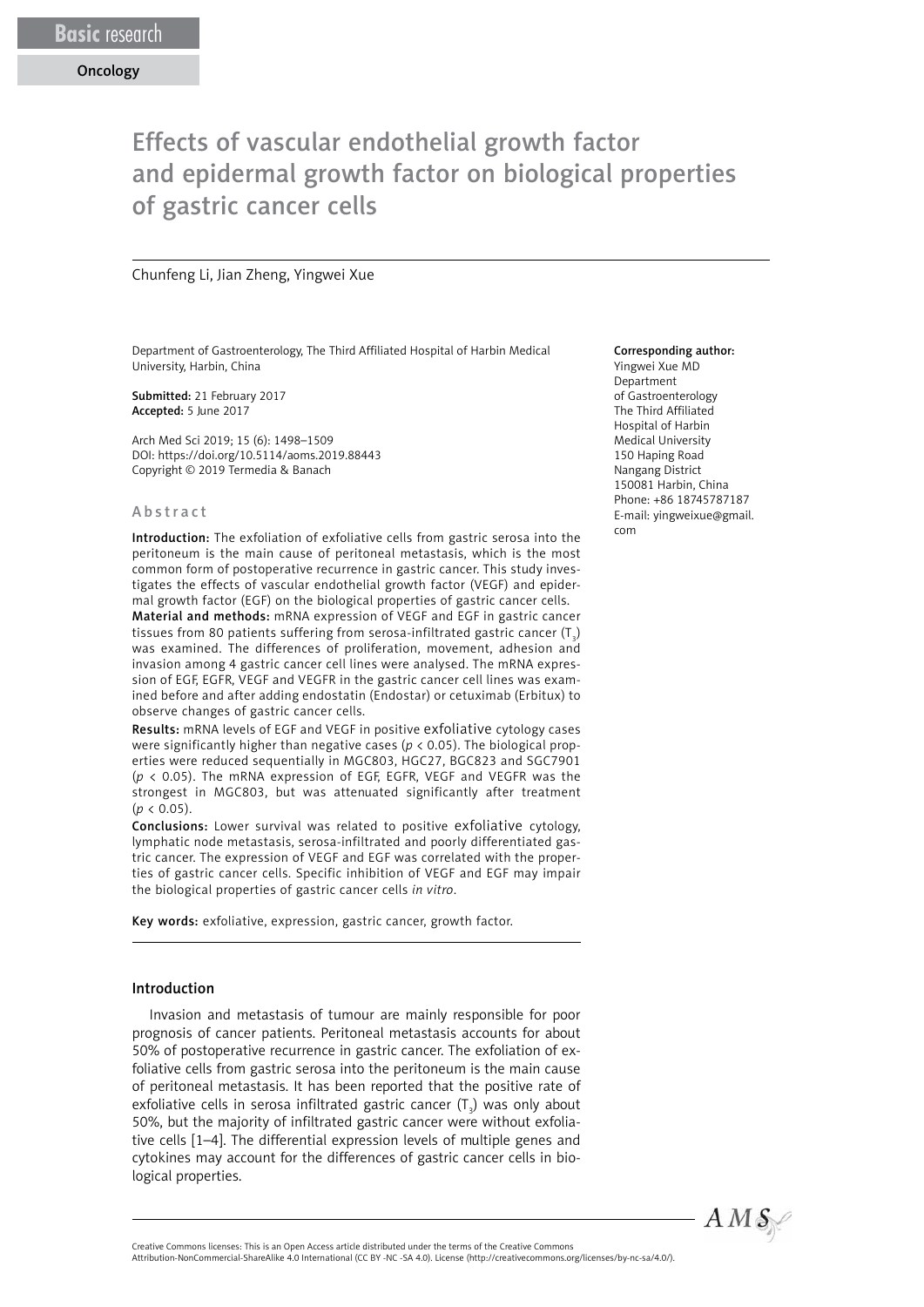# Effects of vascular endothelial growth factor and epidermal growth factor on biological properties of gastric cancer cells

#### Chunfeng Li, Jian Zheng, Yingwei Xue

Department of Gastroenterology, The Third Affiliated Hospital of Harbin Medical University, Harbin, China

Submitted: 21 February 2017 Accepted: 5 June 2017

Arch Med Sci 2019; 15 (6): 1498–1509 DOI: https://doi.org/10.5114/aoms.2019.88443 Copyright © 2019 Termedia & Banach

#### Abstract

Introduction: The exfoliation of exfoliative cells from gastric serosa into the peritoneum is the main cause of peritoneal metastasis, which is the most common form of postoperative recurrence in gastric cancer. This study investigates the effects of vascular endothelial growth factor (VEGF) and epidermal growth factor (EGF) on the biological properties of gastric cancer cells.

Material and methods: mRNA expression of VEGF and EGF in gastric cancer tissues from 80 patients suffering from serosa-infiltrated gastric cancer (T $_{\rm_3}$ ) was examined. The differences of proliferation, movement, adhesion and invasion among 4 gastric cancer cell lines were analysed. The mRNA expression of EGF, EGFR, VEGF and VEGFR in the gastric cancer cell lines was examined before and after adding endostatin (Endostar) or cetuximab (Erbitux) to observe changes of gastric cancer cells.

Results: mRNA levels of EGF and VEGF in positive exfoliative cytology cases were significantly higher than negative cases ( $p < 0.05$ ). The biological properties were reduced sequentially in MGC803, HGC27, BGC823 and SGC7901 (*p* < 0.05). The mRNA expression of EGF, EGFR, VEGF and VEGFR was the strongest in MGC803, but was attenuated significantly after treatment  $(p < 0.05)$ .

Conclusions: Lower survival was related to positive exfoliative cytology, lymphatic node metastasis, serosa-infiltrated and poorly differentiated gastric cancer. The expression of VEGF and EGF was correlated with the properties of gastric cancer cells. Specific inhibition of VEGF and EGF may impair the biological properties of gastric cancer cells *in vitro*.

Key words: exfoliative, expression, gastric cancer, growth factor.

#### Introduction

Invasion and metastasis of tumour are mainly responsible for poor prognosis of cancer patients. Peritoneal metastasis accounts for about 50% of postoperative recurrence in gastric cancer. The exfoliation of exfoliative cells from gastric serosa into the peritoneum is the main cause of peritoneal metastasis. It has been reported that the positive rate of exfoliative cells in serosa infiltrated gastric cancer  $(\mathsf{T}_\mathsf{3})$  was only about 50%, but the majority of infiltrated gastric cancer were without exfoliative cells [1–4]. The differential expression levels of multiple genes and cytokines may account for the differences of gastric cancer cells in biological properties.

#### Corresponding author:

Yingwei Xue MD Department of Gastroenterology The Third Affiliated Hospital of Harbin Medical University 150 Haping Road Nangang District 150081 Harbin, China Phone: +86 18745787187 E-mail: yingweixue@gmail. com



Attribution-NonCommercial-ShareAlike 4.0 International (CC BY -NC -SA 4.0). License (http://creativecommons.org/licenses/by-nc-sa/4.0/).

Creative Commons licenses: This is an Open Access article distributed under the terms of the Creative Commons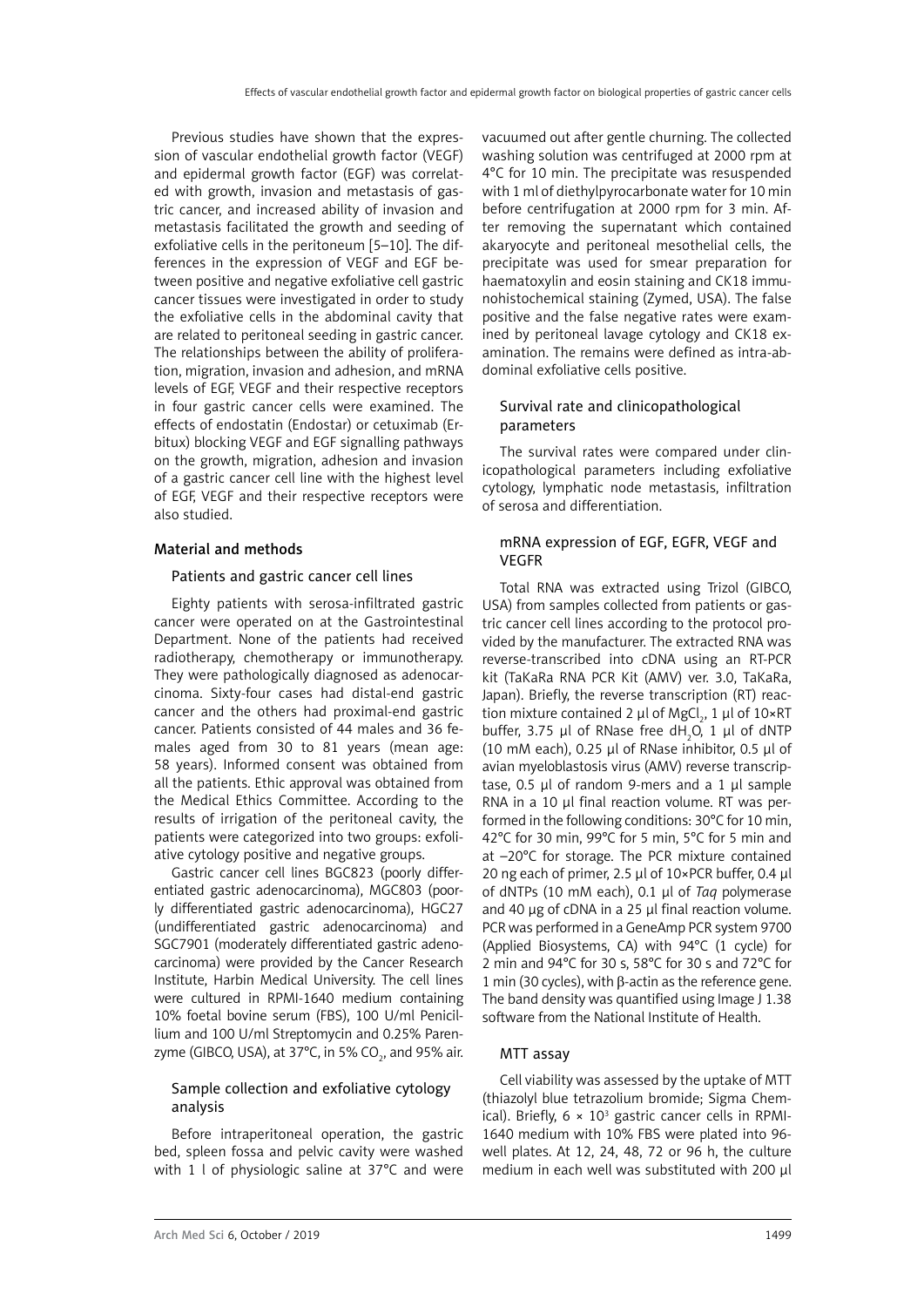Previous studies have shown that the expression of vascular endothelial growth factor (VEGF) and epidermal growth factor (EGF) was correlated with growth, invasion and metastasis of gastric cancer, and increased ability of invasion and metastasis facilitated the growth and seeding of exfoliative cells in the peritoneum [5–10]. The differences in the expression of VEGF and EGF between positive and negative exfoliative cell gastric cancer tissues were investigated in order to study the exfoliative cells in the abdominal cavity that are related to peritoneal seeding in gastric cancer. The relationships between the ability of proliferation, migration, invasion and adhesion, and mRNA levels of EGF, VEGF and their respective receptors in four gastric cancer cells were examined. The effects of endostatin (Endostar) or cetuximab (Erbitux) blocking VEGF and EGF signalling pathways on the growth, migration, adhesion and invasion of a gastric cancer cell line with the highest level of EGF, VEGF and their respective receptors were also studied.

## Material and methods

# Patients and gastric cancer cell lines

Eighty patients with serosa-infiltrated gastric cancer were operated on at the Gastrointestinal Department. None of the patients had received radiotherapy, chemotherapy or immunotherapy. They were pathologically diagnosed as adenocarcinoma. Sixty-four cases had distal-end gastric cancer and the others had proximal-end gastric cancer. Patients consisted of 44 males and 36 females aged from 30 to 81 years (mean age: 58 years). Informed consent was obtained from all the patients. Ethic approval was obtained from the Medical Ethics Committee. According to the results of irrigation of the peritoneal cavity, the patients were categorized into two groups: exfoliative cytology positive and negative groups.

Gastric cancer cell lines BGC823 (poorly differentiated gastric adenocarcinoma), MGC803 (poorly differentiated gastric adenocarcinoma), HGC27 (undifferentiated gastric adenocarcinoma) and SGC7901 (moderately differentiated gastric adenocarcinoma) were provided by the Cancer Research Institute, Harbin Medical University. The cell lines were cultured in RPMI-1640 medium containing 10% foetal bovine serum (FBS), 100 U/ml Penicillium and 100 U/ml Streptomycin and 0.25% Parenzyme (GIBCO, USA), at 37°C, in 5% CO<sub>2</sub>, and 95% air.

# Sample collection and exfoliative cytology analysis

Before intraperitoneal operation, the gastric bed, spleen fossa and pelvic cavity were washed with 1 l of physiologic saline at 37°C and were vacuumed out after gentle churning. The collected washing solution was centrifuged at 2000 rpm at 4°C for 10 min. The precipitate was resuspended with 1 ml of diethylpyrocarbonate water for 10 min before centrifugation at 2000 rpm for 3 min. After removing the supernatant which contained akaryocyte and peritoneal mesothelial cells, the precipitate was used for smear preparation for haematoxylin and eosin staining and CK18 immunohistochemical staining (Zymed, USA). The false positive and the false negative rates were examined by peritoneal lavage cytology and CK18 examination. The remains were defined as intra-abdominal exfoliative cells positive.

## Survival rate and clinicopathological parameters

The survival rates were compared under clinicopathological parameters including exfoliative cytology, lymphatic node metastasis, infiltration of serosa and differentiation.

## mRNA expression of EGF, EGFR, VEGF and VEGFR

Total RNA was extracted using Trizol (GIBCO, USA) from samples collected from patients or gastric cancer cell lines according to the protocol provided by the manufacturer. The extracted RNA was reverse-transcribed into cDNA using an RT-PCR kit (TaKaRa RNA PCR Kit (AMV) ver. 3.0, TaKaRa, Japan). Briefly, the reverse transcription (RT) reaction mixture contained 2 μl of MgCl<sub>2</sub>, 1 μl of 10×RT buffer, 3.75 μl of RNase free dH<sub>2</sub>O, 1 μl of dNTP (10 mM each), 0.25 μl of RNase inhibitor, 0.5 μl of avian myeloblastosis virus (AMV) reverse transcriptase, 0.5 μl of random 9-mers and a 1 μl sample RNA in a 10 µl final reaction volume. RT was performed in the following conditions: 30°C for 10 min, 42°C for 30 min, 99°C for 5 min, 5°C for 5 min and at –20°C for storage. The PCR mixture contained 20 ng each of primer, 2.5 µl of 10×PCR buffer, 0.4 µl of dNTPs (10 mM each), 0.1 µl of *Taq* polymerase and 40 µg of cDNA in a 25 µl final reaction volume. PCR was performed in a GeneAmp PCR system 9700 (Applied Biosystems, CA) with 94°C (1 cycle) for 2 min and 94°C for 30 s, 58°C for 30 s and 72°C for 1 min (30 cycles), with β-actin as the reference gene. The band density was quantified using Image J 1.38 software from the National Institute of Health.

## MTT assay

Cell viability was assessed by the uptake of MTT (thiazolyl blue tetrazolium bromide; Sigma Chemical). Briefly,  $6 \times 10^3$  gastric cancer cells in RPMI-1640 medium with 10% FBS were plated into 96 well plates. At 12, 24, 48, 72 or 96 h, the culture medium in each well was substituted with 200 µl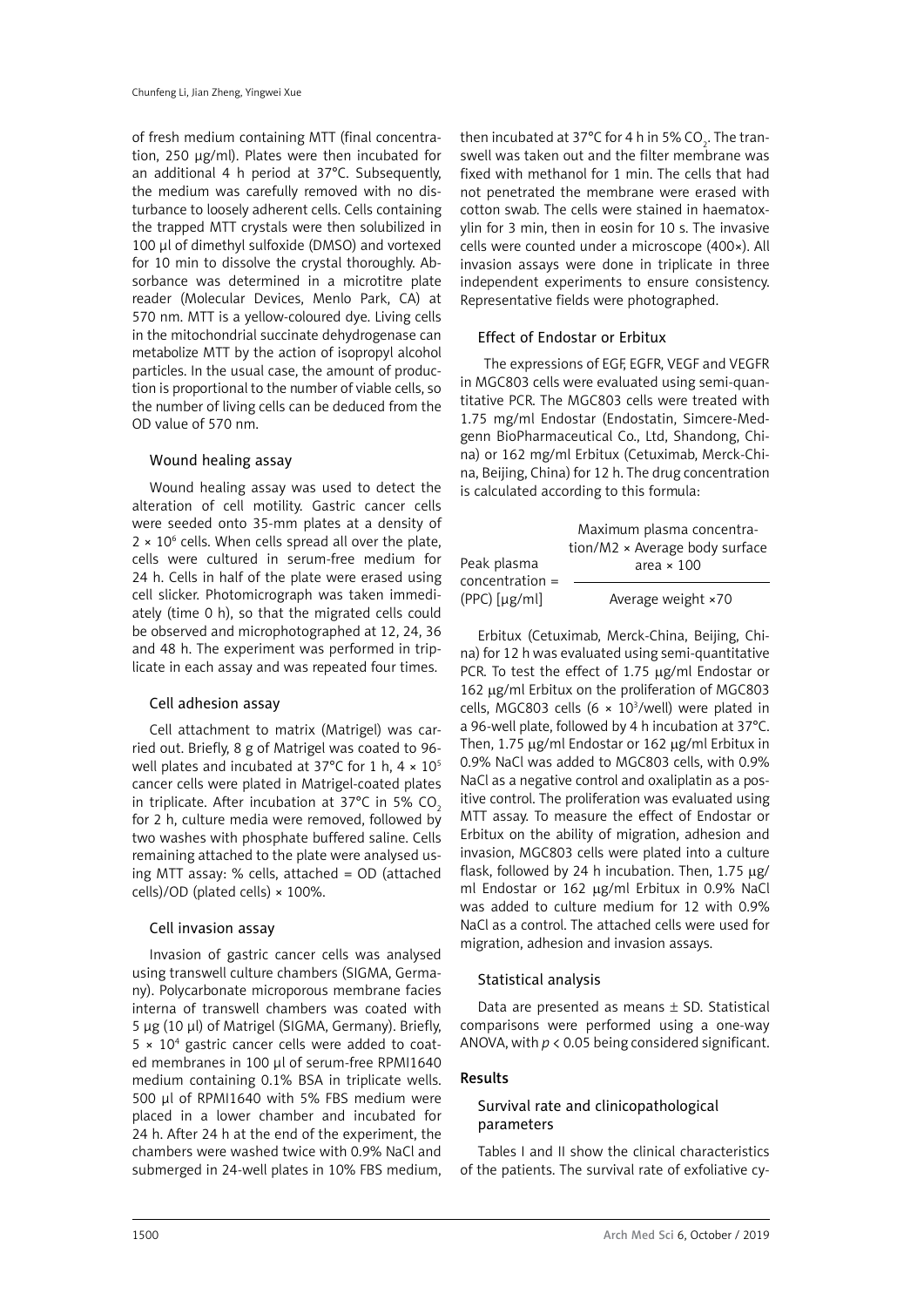of fresh medium containing MTT (final concentration, 250 µg/ml). Plates were then incubated for an additional 4 h period at 37°C. Subsequently, the medium was carefully removed with no disturbance to loosely adherent cells. Cells containing the trapped MTT crystals were then solubilized in 100 µl of dimethyl sulfoxide (DMSO) and vortexed for 10 min to dissolve the crystal thoroughly. Absorbance was determined in a microtitre plate reader (Molecular Devices, Menlo Park, CA) at 570 nm. MTT is a yellow-coloured dye. Living cells in the mitochondrial succinate dehydrogenase can metabolize MTT by the action of isopropyl alcohol particles. In the usual case, the amount of production is proportional to the number of viable cells, so the number of living cells can be deduced from the OD value of 570 nm.

## Wound healing assay

Wound healing assay was used to detect the alteration of cell motility. Gastric cancer cells were seeded onto 35-mm plates at a density of  $2 \times 10^6$  cells. When cells spread all over the plate, cells were cultured in serum-free medium for 24 h. Cells in half of the plate were erased using cell slicker. Photomicrograph was taken immediately (time 0 h), so that the migrated cells could be observed and microphotographed at 12, 24, 36 and 48 h. The experiment was performed in triplicate in each assay and was repeated four times.

#### Cell adhesion assay

Cell attachment to matrix (Matrigel) was carried out. Briefly, 8 g of Matrigel was coated to 96 well plates and incubated at 37°C for 1 h,  $4 \times 10^{5}$ cancer cells were plated in Matrigel-coated plates in triplicate. After incubation at  $37^{\circ}$ C in 5% CO<sub>2</sub> for 2 h, culture media were removed, followed by two washes with phosphate buffered saline. Cells remaining attached to the plate were analysed using MTT assay: % cells, attached = OD (attached cells)/OD (plated cells) × 100%.

#### Cell invasion assay

Invasion of gastric cancer cells was analysed using transwell culture chambers (SIGMA, Germany). Polycarbonate microporous membrane facies interna of transwell chambers was coated with 5 μg (10 μl) of Matrigel (SIGMA, Germany). Briefly,  $5 \times 10^4$  gastric cancer cells were added to coated membranes in 100 µl of serum-free RPMI1640 medium containing 0.1% BSA in triplicate wells. 500 µl of RPMI1640 with 5% FBS medium were placed in a lower chamber and incubated for 24 h. After 24 h at the end of the experiment, the chambers were washed twice with 0.9% NaCl and submerged in 24-well plates in 10% FBS medium,

then incubated at 37°C for 4 h in 5% CO<sub>2</sub>. The transwell was taken out and the filter membrane was fixed with methanol for 1 min. The cells that had not penetrated the membrane were erased with cotton swab. The cells were stained in haematoxylin for 3 min, then in eosin for 10 s. The invasive cells were counted under a microscope (400×). All invasion assays were done in triplicate in three independent experiments to ensure consistency. Representative fields were photographed.

## Effect of Endostar or Erbitux

 The expressions of EGF, EGFR, VEGF and VEGFR in MGC803 cells were evaluated using semi-quantitative PCR. The MGC803 cells were treated with 1.75 mg/ml Endostar (Endostatin, Simcere-Medgenn BioPharmaceutical Co., Ltd, Shandong, China) or 162 mg/ml Erbitux (Cetuximab, Merck-China, Beijing, China) for 12 h. The drug concentration is calculated according to this formula:

| Peak plasma       | Maximum plasma concentra-<br>tion/M2 × Average body surface<br>area $\times$ 100 |
|-------------------|----------------------------------------------------------------------------------|
| $concentration =$ |                                                                                  |
| $(PPC)$ [µg/ml]   | Average weight ×70                                                               |

Erbitux (Cetuximab, Merck-China, Beijing, China) for 12 h was evaluated using semi-quantitative PCR. To test the effect of 1.75  $\mu$ g/ml Endostar or 162 µg/ml Erbitux on the proliferation of MGC803 cells, MGC803 cells (6  $\times$  10<sup>3</sup>/well) were plated in a 96-well plate, followed by 4 h incubation at 37°C. Then,  $1.75 \mu g/ml$  Endostar or  $162 \mu g/ml$  Erbitux in 0.9% NaCl was added to MGC803 cells, with 0.9% NaCl as a negative control and oxaliplatin as a positive control. The proliferation was evaluated using MTT assay. To measure the effect of Endostar or Erbitux on the ability of migration, adhesion and invasion, MGC803 cells were plated into a culture flask, followed by 24 h incubation. Then,  $1.75 \mu g$ / ml Endostar or 162 µg/ml Erbitux in 0.9% NaCl was added to culture medium for 12 with 0.9% NaCl as a control. The attached cells were used for migration, adhesion and invasion assays.

#### Statistical analysis

Data are presented as means  $\pm$  SD. Statistical comparisons were performed using a one-way ANOVA, with *p* < 0.05 being considered significant.

### Results

## Survival rate and clinicopathological parameters

Tables I and II show the clinical characteristics of the patients. The survival rate of exfoliative cy-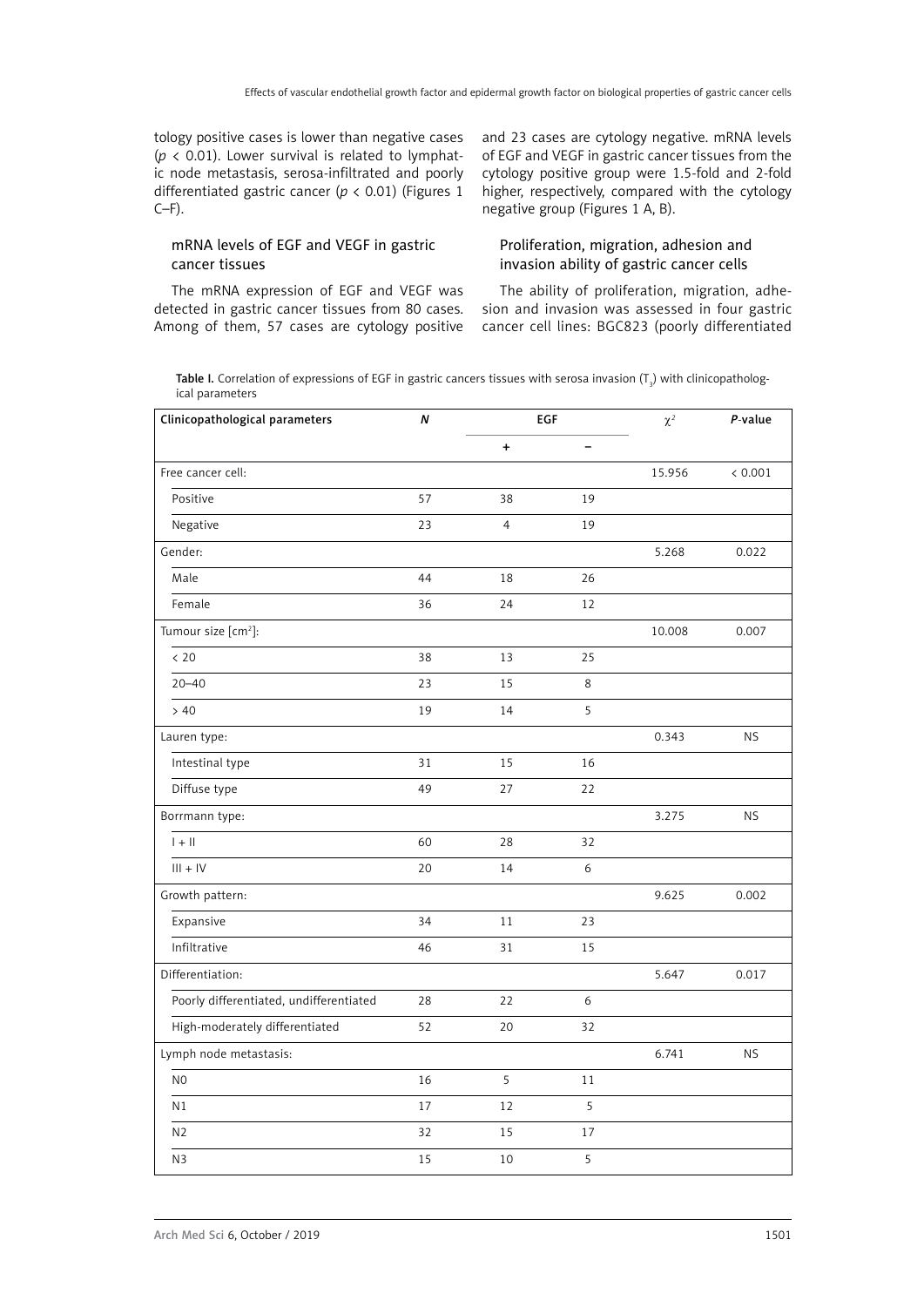tology positive cases is lower than negative cases ( $p \lt 0.01$ ). Lower survival is related to lymphatic node metastasis, serosa-infiltrated and poorly differentiated gastric cancer (*p* < 0.01) (Figures 1  $C-F$ ).

## mRNA levels of EGF and VEGF in gastric cancer tissues

The mRNA expression of EGF and VEGF was detected in gastric cancer tissues from 80 cases. Among of them, 57 cases are cytology positive and 23 cases are cytology negative. mRNA levels of EGF and VEGF in gastric cancer tissues from the cytology positive group were 1.5-fold and 2-fold higher, respectively, compared with the cytology negative group (Figures 1 A, B).

## Proliferation, migration, adhesion and invasion ability of gastric cancer cells

The ability of proliferation, migration, adhesion and invasion was assessed in four gastric cancer cell lines: BGC823 (poorly differentiated

**Table I.** Correlation of expressions of EGF in gastric cancers tissues with serosa invasion (T<sub>3</sub>) with clinicopathological parameters

| Clinicopathological parameters          | EGF<br>Ν |                |    | $\chi^2$ | P-value   |
|-----------------------------------------|----------|----------------|----|----------|-----------|
|                                         |          | $\ddot{}$      | -  |          |           |
| Free cancer cell:                       |          |                |    | 15.956   | < 0.001   |
| Positive                                | 57       | 38             | 19 |          |           |
| Negative                                | 23       | $\overline{4}$ | 19 |          |           |
| Gender:                                 |          |                |    | 5.268    | 0.022     |
| Male                                    | 44       | 18             | 26 |          |           |
| Female                                  | 36       | 24             | 12 |          |           |
| Tumour size [cm <sup>2</sup> ]:         |          |                |    | 10.008   | 0.007     |
| < 20                                    | 38       | 13             | 25 |          |           |
| $20 - 40$                               | 23       | 15             | 8  |          |           |
| > 40                                    | 19       | 14             | 5  |          |           |
| Lauren type:                            |          |                |    | 0.343    | <b>NS</b> |
| Intestinal type                         | 31       | 15             | 16 |          |           |
| Diffuse type                            | 49       | 27             | 22 |          |           |
| Borrmann type:                          |          |                |    | 3.275    | <b>NS</b> |
| $  +  $                                 | 60       | 28             | 32 |          |           |
| $III + IV$                              | 20       | 14             | 6  |          |           |
| Growth pattern:                         |          |                |    | 9.625    | 0.002     |
| Expansive                               | 34       | 11             | 23 |          |           |
| Infiltrative                            | 46       | 31             | 15 |          |           |
| Differentiation:                        |          |                |    | 5.647    | 0.017     |
| Poorly differentiated, undifferentiated | 28       | 22             | 6  |          |           |
| High-moderately differentiated          | 52       | 20             | 32 |          |           |
| Lymph node metastasis:                  |          |                |    | 6.741    | <b>NS</b> |
| N <sub>0</sub>                          | 16       | 5              | 11 |          |           |
| N <sub>1</sub>                          | 17       | 12             | 5  |          |           |
| N <sub>2</sub>                          | 32       | 15             | 17 |          |           |
| N3                                      | 15       | 10             | 5  |          |           |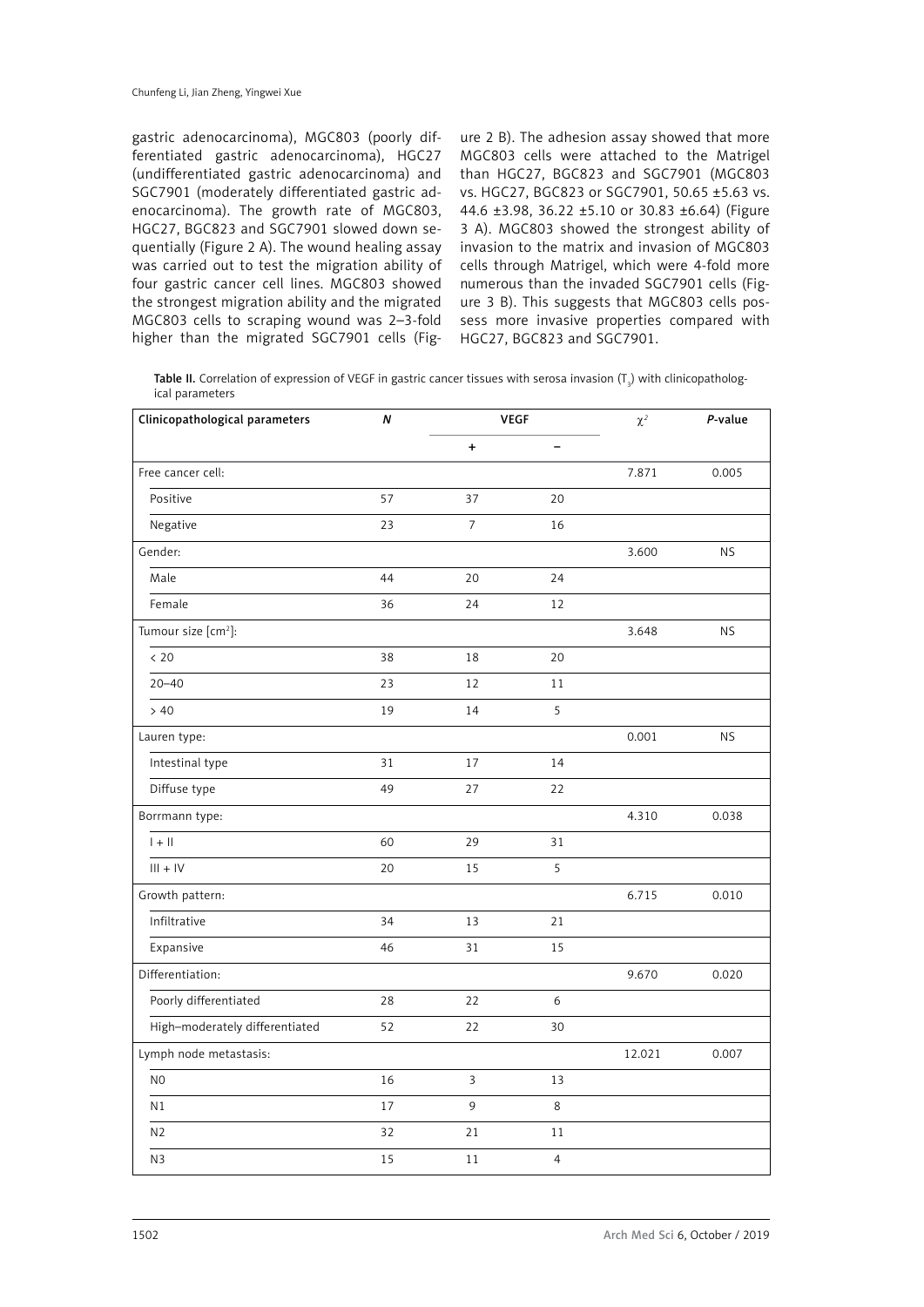gastric adenocarcinoma), MGC803 (poorly differentiated gastric adenocarcinoma), HGC27 (undifferentiated gastric adenocarcinoma) and SGC7901 (moderately differentiated gastric adenocarcinoma). The growth rate of MGC803, HGC27, BGC823 and SGC7901 slowed down sequentially (Figure 2 A). The wound healing assay was carried out to test the migration ability of four gastric cancer cell lines. MGC803 showed the strongest migration ability and the migrated MGC803 cells to scraping wound was 2–3-fold higher than the migrated SGC7901 cells (Fig-

ure 2 B). The adhesion assay showed that more MGC803 cells were attached to the Matrigel than HGC27, BGC823 and SGC7901 (MGC803 vs. HGC27, BGC823 or SGC7901, 50.65 ±5.63 vs. 44.6 ±3.98, 36.22 ±5.10 or 30.83 ±6.64) (Figure 3 A). MGC803 showed the strongest ability of invasion to the matrix and invasion of MGC803 cells through Matrigel, which were 4-fold more numerous than the invaded SGC7901 cells (Figure 3 B). This suggests that MGC803 cells possess more invasive properties compared with HGC27, BGC823 and SGC7901.

**Table II.** Correlation of expression of VEGF in gastric cancer tissues with serosa invasion (T<sub>3</sub>) with clinicopathological parameters

| Clinicopathological parameters  | N  | <b>VEGF</b>              |                | $\chi^2$ | P-value   |
|---------------------------------|----|--------------------------|----------------|----------|-----------|
|                                 |    | $\ddot{}$                | -              |          |           |
| Free cancer cell:               |    |                          |                | 7.871    | 0.005     |
| Positive                        | 57 | 37                       | 20             |          |           |
| Negative                        | 23 | $\overline{\phantom{a}}$ | 16             |          |           |
| Gender:                         |    |                          |                | 3.600    | <b>NS</b> |
| Male                            | 44 | 20                       | 24             |          |           |
| Female                          | 36 | 24                       | 12             |          |           |
| Tumour size [cm <sup>2</sup> ]: |    |                          |                | 3.648    | <b>NS</b> |
| < 20                            | 38 | 18                       | 20             |          |           |
| $20 - 40$                       | 23 | 12                       | 11             |          |           |
| > 40                            | 19 | 14                       | 5              |          |           |
| Lauren type:                    |    |                          |                | 0.001    | <b>NS</b> |
| Intestinal type                 | 31 | 17                       | 14             |          |           |
| Diffuse type                    | 49 | 27                       | 22             |          |           |
| Borrmann type:                  |    |                          |                | 4.310    | 0.038     |
| $  +  $                         | 60 | 29                       | 31             |          |           |
| $III + IV$                      | 20 | 15                       | 5              |          |           |
| Growth pattern:                 |    |                          |                | 6.715    | 0.010     |
| Infiltrative                    | 34 | 13                       | 21             |          |           |
| Expansive                       | 46 | 31                       | 15             |          |           |
| Differentiation:                |    |                          |                | 9.670    | 0.020     |
| Poorly differentiated           | 28 | 22                       | 6              |          |           |
| High-moderately differentiated  | 52 | 22                       | 30             |          |           |
| Lymph node metastasis:          |    |                          |                | 12.021   | 0.007     |
| N <sub>0</sub>                  | 16 | 3                        | 13             |          |           |
| N <sub>1</sub>                  | 17 | 9                        | 8              |          |           |
| N <sub>2</sub>                  | 32 | 21                       | 11             |          |           |
| N <sub>3</sub>                  | 15 | $1\,1$                   | $\overline{4}$ |          |           |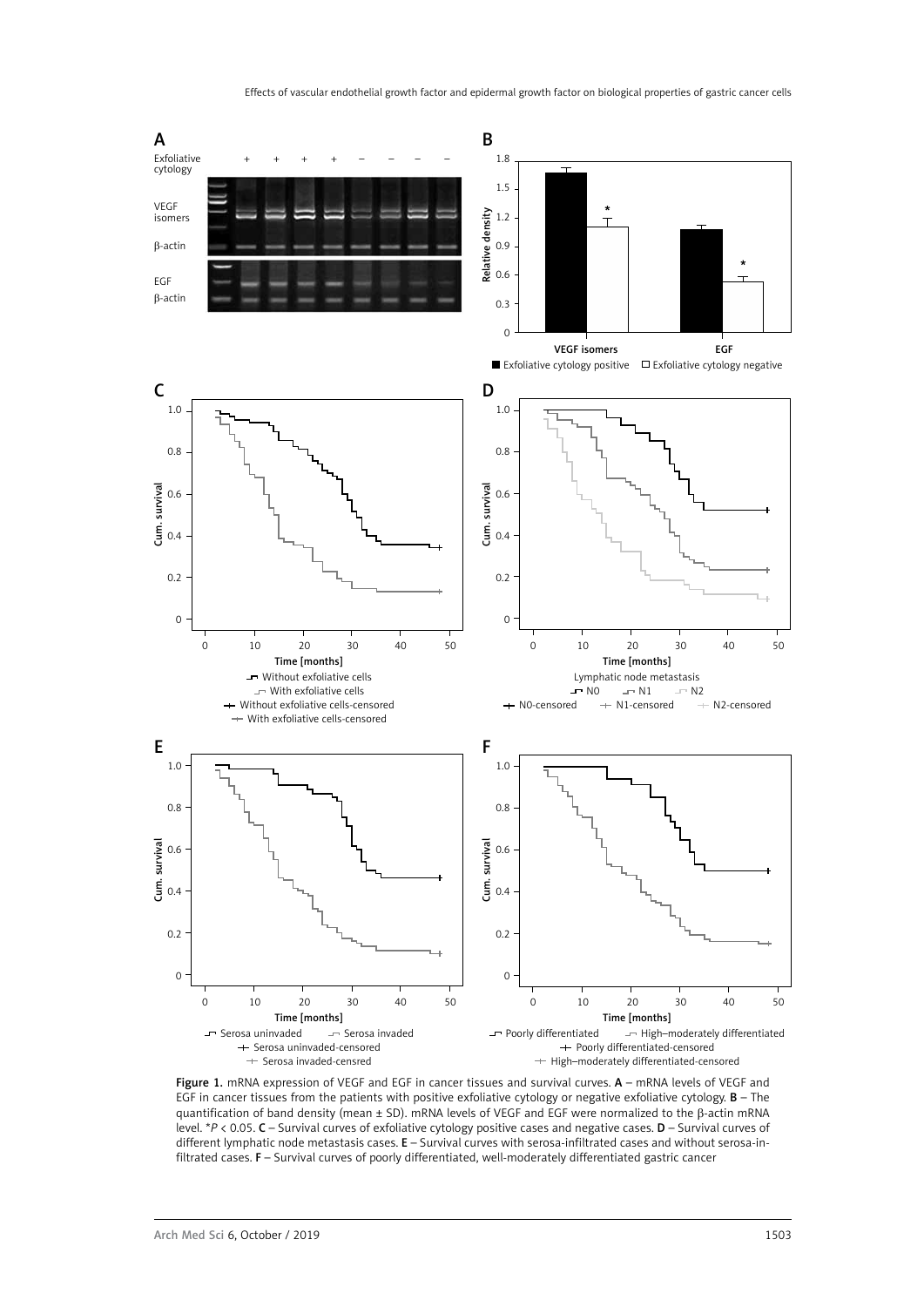

Figure 1. mRNA expression of VEGF and EGF in cancer tissues and survival curves. A – mRNA levels of VEGF and EGF in cancer tissues from the patients with positive exfoliative cytology or negative exfoliative cytology.  $B$  – The quantification of band density (mean ± SD). mRNA levels of VEGF and EGF were normalized to the β-actin mRNA level. \**P* < 0.05. C – Survival curves of exfoliative cytology positive cases and negative cases. D – Survival curves of different lymphatic node metastasis cases. E – Survival curves with serosa-infiltrated cases and without serosa-infiltrated cases. F – Survival curves of poorly differentiated, well-moderately differentiated gastric cancer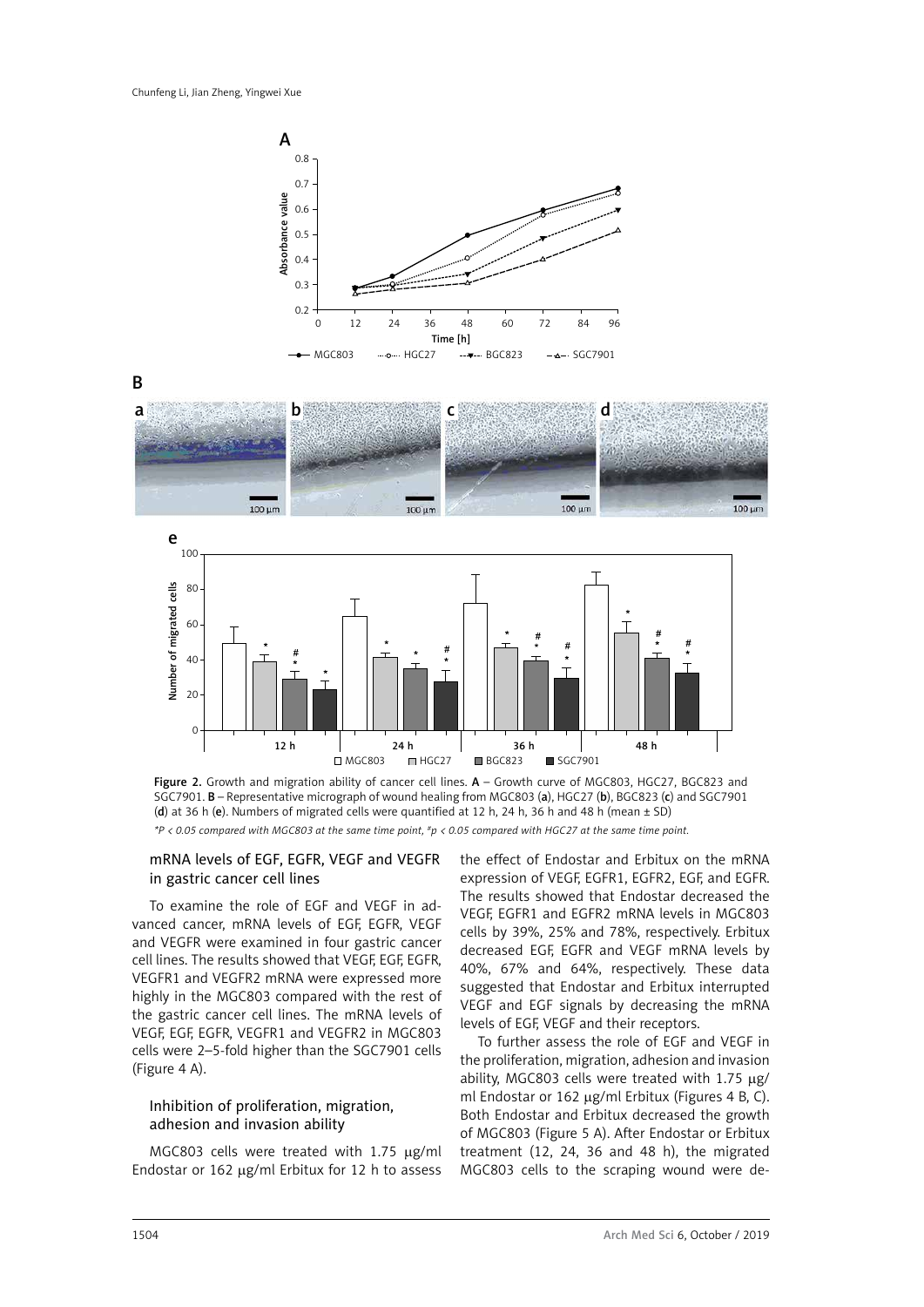







Figure 2. Growth and migration ability of cancer cell lines. A - Growth curve of MGC803, HGC27, BGC823 and SGC7901. B – Representative micrograph of wound healing from MGC803 (a), HGC27 (b), BGC823 (c) and SGC7901 (d) at 36 h (e). Numbers of migrated cells were quantified at 12 h, 24 h, 36 h and 48 h (mean ± SD) *\*P < 0.05 compared with MGC803 at the same time point, #p < 0.05 compared with HGC27 at the same time point.*

### mRNA levels of EGF, EGFR, VEGF and VEGFR in gastric cancer cell lines

To examine the role of EGF and VEGF in advanced cancer, mRNA levels of EGF, EGFR, VEGF and VEGFR were examined in four gastric cancer cell lines. The results showed that VEGF, EGF, EGFR, VEGFR1 and VEGFR2 mRNA were expressed more highly in the MGC803 compared with the rest of the gastric cancer cell lines. The mRNA levels of VEGF, EGF, EGFR, VEGFR1 and VEGFR2 in MGC803 cells were 2–5-fold higher than the SGC7901 cells (Figure 4 A).

# Inhibition of proliferation, migration, adhesion and invasion ability

MGC803 cells were treated with  $1.75 \mu g/ml$ Endostar or  $162 \mu g/ml$  Erbitux for  $12$  h to assess the effect of Endostar and Erbitux on the mRNA expression of VEGF, EGFR1, EGFR2, EGF, and EGFR. The results showed that Endostar decreased the VEGF, EGFR1 and EGFR2 mRNA levels in MGC803 cells by 39%, 25% and 78%, respectively. Erbitux decreased EGF, EGFR and VEGF mRNA levels by 40%, 67% and 64%, respectively. These data suggested that Endostar and Erbitux interrupted VEGF and EGF signals by decreasing the mRNA levels of EGF, VEGF and their receptors.

To further assess the role of EGF and VEGF in the proliferation, migration, adhesion and invasion ability, MGC803 cells were treated with 1.75  $\mu$ g/ ml Endostar or 162  $\mu$ g/ml Erbitux (Figures 4 B, C). Both Endostar and Erbitux decreased the growth of MGC803 (Figure 5 A). After Endostar or Erbitux treatment (12, 24, 36 and 48 h), the migrated MGC803 cells to the scraping wound were de-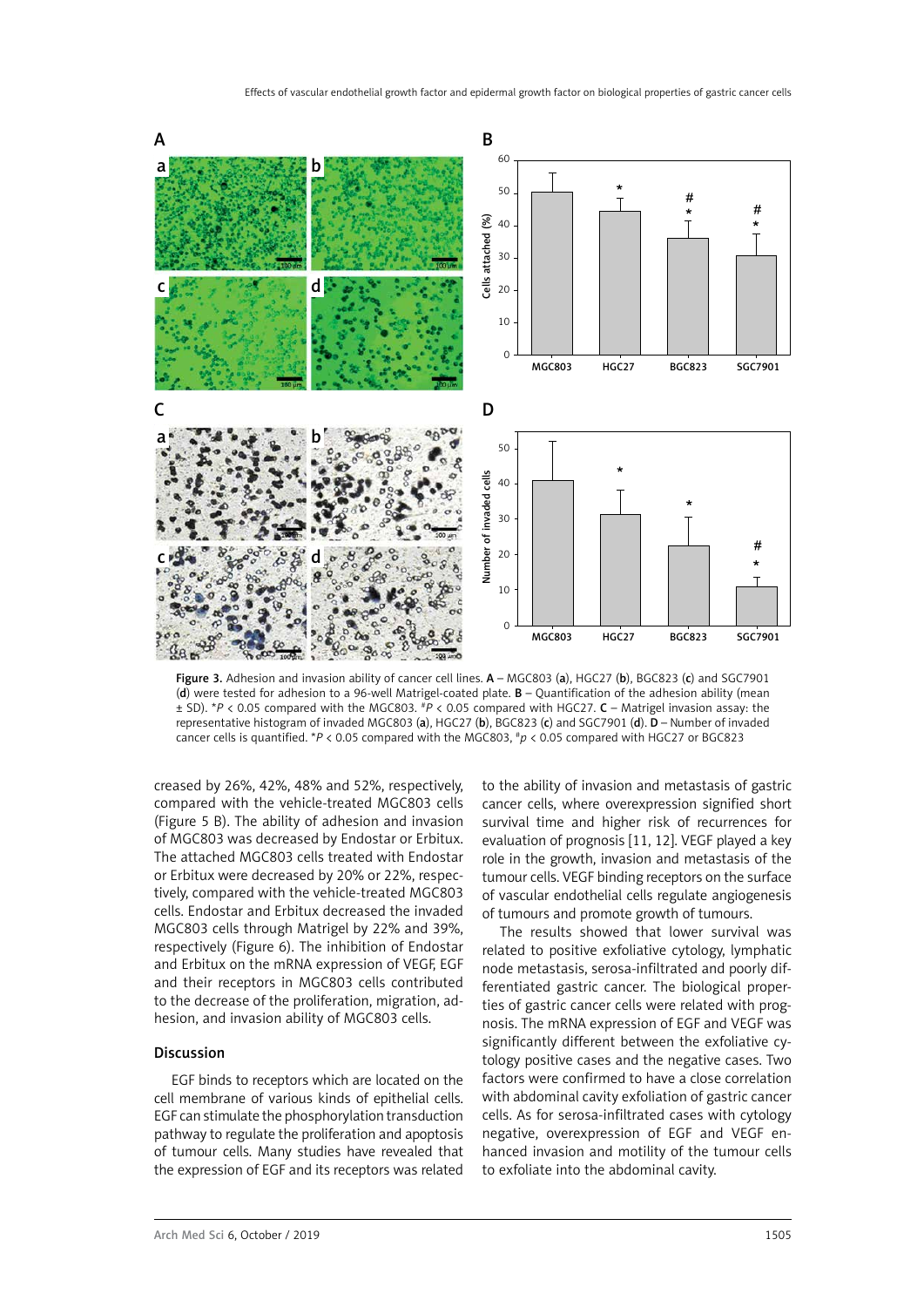

Figure 3. Adhesion and invasion ability of cancer cell lines. A - MGC803 (a), HGC27 (b), BGC823 (c) and SGC7901 (d) were tested for adhesion to a 96-well Matrigel-coated plate. B – Quantification of the adhesion ability (mean ± SD). \**P* < 0.05 compared with the MGC803. #*P* < 0.05 compared with HGC27. C – Matrigel invasion assay: the representative histogram of invaded MGC803 (a), HGC27 (b), BGC823 (c) and SGC7901 (d). D – Number of invaded cancer cells is quantified. \**P* < 0.05 compared with the MGC803, #*p* < 0.05 compared with HGC27 or BGC823

creased by 26%, 42%, 48% and 52%, respectively, compared with the vehicle-treated MGC803 cells (Figure 5 B). The ability of adhesion and invasion of MGC803 was decreased by Endostar or Erbitux. The attached MGC803 cells treated with Endostar or Erbitux were decreased by 20% or 22%, respectively, compared with the vehicle-treated MGC803 cells. Endostar and Erbitux decreased the invaded MGC803 cells through Matrigel by 22% and 39%, respectively (Figure 6). The inhibition of Endostar and Erbitux on the mRNA expression of VEGF, EGF and their receptors in MGC803 cells contributed to the decrease of the proliferation, migration, adhesion, and invasion ability of MGC803 cells.

#### Discussion

EGF binds to receptors which are located on the cell membrane of various kinds of epithelial cells. EGF can stimulate the phosphorylation transduction pathway to regulate the proliferation and apoptosis of tumour cells. Many studies have revealed that the expression of EGF and its receptors was related to the ability of invasion and metastasis of gastric cancer cells, where overexpression signified short survival time and higher risk of recurrences for evaluation of prognosis [11, 12]. VEGF played a key role in the growth, invasion and metastasis of the tumour cells. VEGF binding receptors on the surface of vascular endothelial cells regulate angiogenesis of tumours and promote growth of tumours.

The results showed that lower survival was related to positive exfoliative cytology, lymphatic node metastasis, serosa-infiltrated and poorly differentiated gastric cancer. The biological properties of gastric cancer cells were related with prognosis. The mRNA expression of EGF and VEGF was significantly different between the exfoliative cytology positive cases and the negative cases. Two factors were confirmed to have a close correlation with abdominal cavity exfoliation of gastric cancer cells. As for serosa-infiltrated cases with cytology negative, overexpression of EGF and VEGF enhanced invasion and motility of the tumour cells to exfoliate into the abdominal cavity.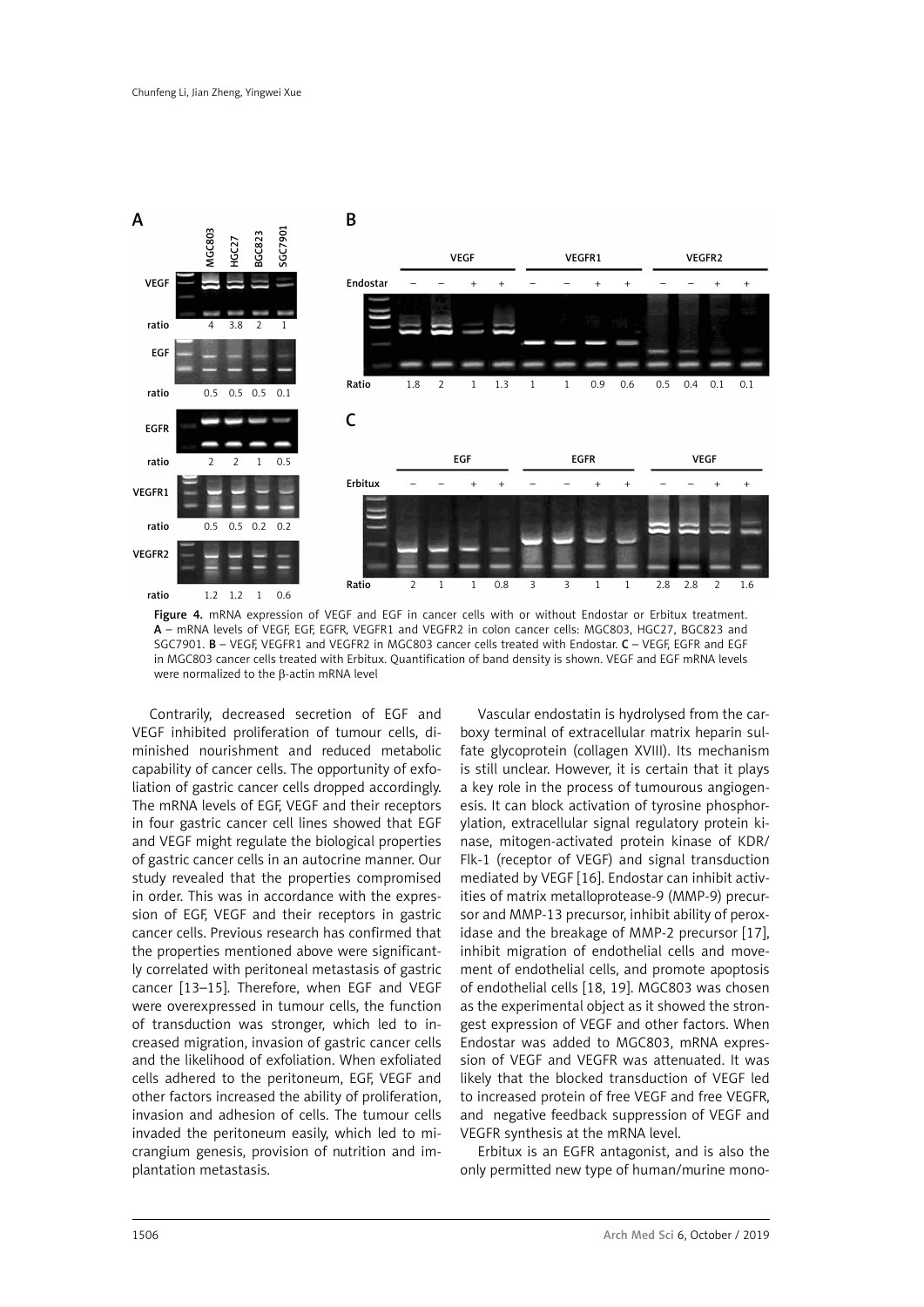

Figure 4. mRNA expression of VEGF and EGF in cancer cells with or without Endostar or Erbitux treatment. A – mRNA levels of VEGF, EGF, EGFR, VEGFR1 and VEGFR2 in colon cancer cells: MGC803, HGC27, BGC823 and SGC7901. B – VEGF, VEGFR1 and VEGFR2 in MGC803 cancer cells treated with Endostar. C – VEGF, EGFR and EGF in MGC803 cancer cells treated with Erbitux. Quantification of band density is shown. VEGF and EGF mRNA levels were normalized to the β-actin mRNA level

Contrarily, decreased secretion of EGF and VEGF inhibited proliferation of tumour cells, diminished nourishment and reduced metabolic capability of cancer cells. The opportunity of exfoliation of gastric cancer cells dropped accordingly. The mRNA levels of EGF, VEGF and their receptors in four gastric cancer cell lines showed that EGF and VEGF might regulate the biological properties of gastric cancer cells in an autocrine manner. Our study revealed that the properties compromised in order. This was in accordance with the expression of EGF, VEGF and their receptors in gastric cancer cells. Previous research has confirmed that the properties mentioned above were significantly correlated with peritoneal metastasis of gastric cancer [13–15]. Therefore, when EGF and VEGF were overexpressed in tumour cells, the function of transduction was stronger, which led to increased migration, invasion of gastric cancer cells and the likelihood of exfoliation. When exfoliated cells adhered to the peritoneum, EGF, VEGF and other factors increased the ability of proliferation, invasion and adhesion of cells. The tumour cells invaded the peritoneum easily, which led to micrangium genesis, provision of nutrition and implantation metastasis.

Vascular endostatin is hydrolysed from the carboxy terminal of extracellular matrix heparin sulfate glycoprotein (collagen XVIII). Its mechanism is still unclear. However, it is certain that it plays a key role in the process of tumourous angiogenesis. It can block activation of tyrosine phosphorylation, extracellular signal regulatory protein kinase, mitogen-activated protein kinase of KDR/ Flk-1 (receptor of VEGF) and signal transduction mediated by VEGF [16]. Endostar can inhibit activities of matrix metalloprotease-9 (MMP-9) precursor and MMP-13 precursor, inhibit ability of peroxidase and the breakage of MMP-2 precursor [17], inhibit migration of endothelial cells and movement of endothelial cells, and promote apoptosis of endothelial cells [18, 19]. MGC803 was chosen as the experimental object as it showed the strongest expression of VEGF and other factors. When Endostar was added to MGC803, mRNA expression of VEGF and VEGFR was attenuated. It was likely that the blocked transduction of VEGF led to increased protein of free VEGF and free VEGFR, and negative feedback suppression of VEGF and VEGFR synthesis at the mRNA level.

Erbitux is an EGFR antagonist, and is also the only permitted new type of human/murine mono-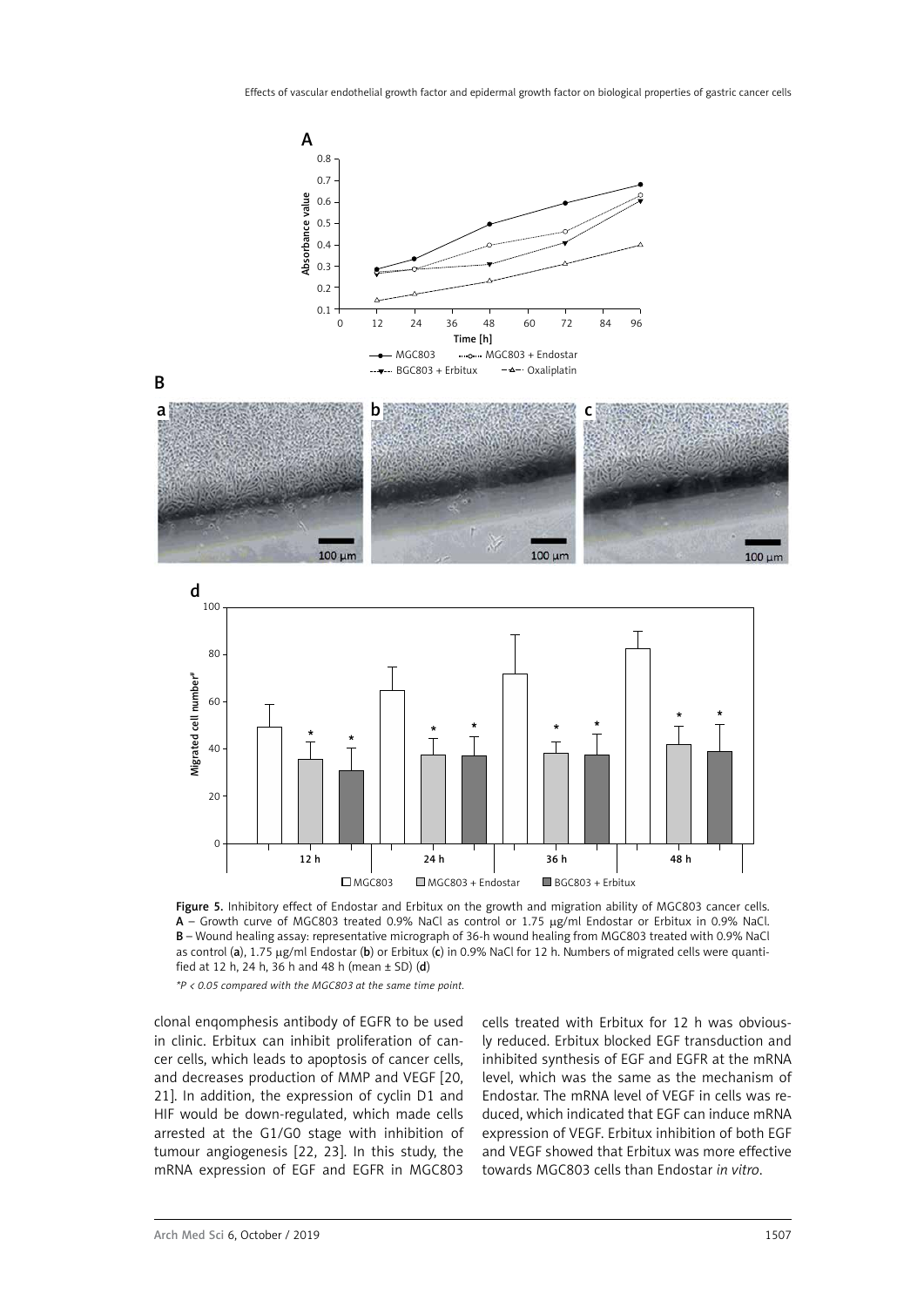



Figure 5. Inhibitory effect of Endostar and Erbitux on the growth and migration ability of MGC803 cancer cells. A - Growth curve of MGC803 treated 0.9% NaCl as control or 1.75 µg/ml Endostar or Erbitux in 0.9% NaCl. B – Wound healing assay: representative micrograph of 36-h wound healing from MGC803 treated with 0.9% NaCl as control (a),  $1.75 \mu g/ml$  Endostar (b) or Erbitux (c) in 0.9% NaCl for 12 h. Numbers of migrated cells were quantified at 12 h, 24 h, 36 h and 48 h (mean  $\pm$  SD) (d)

*\*P < 0.05 compared with the MGC803 at the same time point.*

clonal enqomphesis antibody of EGFR to be used in clinic. Erbitux can inhibit proliferation of cancer cells, which leads to apoptosis of cancer cells, and decreases production of MMP and VEGF [20, 21]. In addition, the expression of cyclin D1 and HIF would be down-regulated, which made cells arrested at the G1/G0 stage with inhibition of tumour angiogenesis [22, 23]. In this study, the mRNA expression of EGF and EGFR in MGC803

cells treated with Erbitux for 12 h was obviously reduced. Erbitux blocked EGF transduction and inhibited synthesis of EGF and EGFR at the mRNA level, which was the same as the mechanism of Endostar. The mRNA level of VEGF in cells was reduced, which indicated that EGF can induce mRNA expression of VEGF. Erbitux inhibition of both EGF and VEGF showed that Erbitux was more effective towards MGC803 cells than Endostar *in vitro*.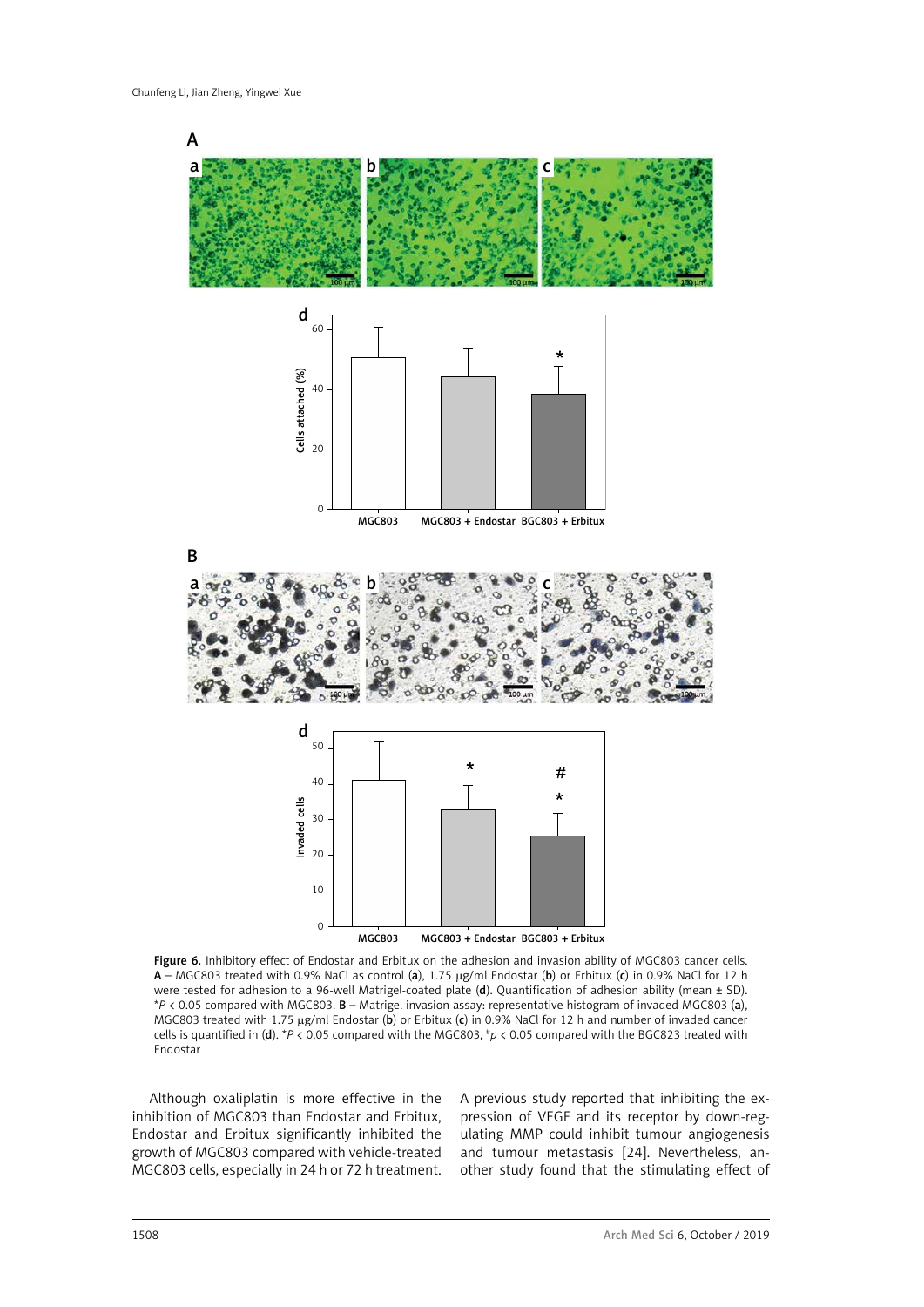

Figure 6. Inhibitory effect of Endostar and Erbitux on the adhesion and invasion ability of MGC803 cancer cells. A – MGC803 treated with 0.9% NaCl as control (a), 1.75 mg/ml Endostar (b) or Erbitux (c) in 0.9% NaCl for 12 h were tested for adhesion to a 96-well Matrigel-coated plate (d). Quantification of adhesion ability (mean ± SD). \**P* < 0.05 compared with MGC803. B – Matrigel invasion assay: representative histogram of invaded MGC803 (a), MGC803 treated with 1.75 µg/ml Endostar (b) or Erbitux (c) in 0.9% NaCl for 12 h and number of invaded cancer cells is quantified in (d). \**P* < 0.05 compared with the MGC803, #*p* < 0.05 compared with the BGC823 treated with Endostar

Although oxaliplatin is more effective in the inhibition of MGC803 than Endostar and Erbitux, Endostar and Erbitux significantly inhibited the growth of MGC803 compared with vehicle-treated MGC803 cells, especially in 24 h or 72 h treatment. A previous study reported that inhibiting the expression of VEGF and its receptor by down-regulating MMP could inhibit tumour angiogenesis and tumour metastasis [24]. Nevertheless, another study found that the stimulating effect of